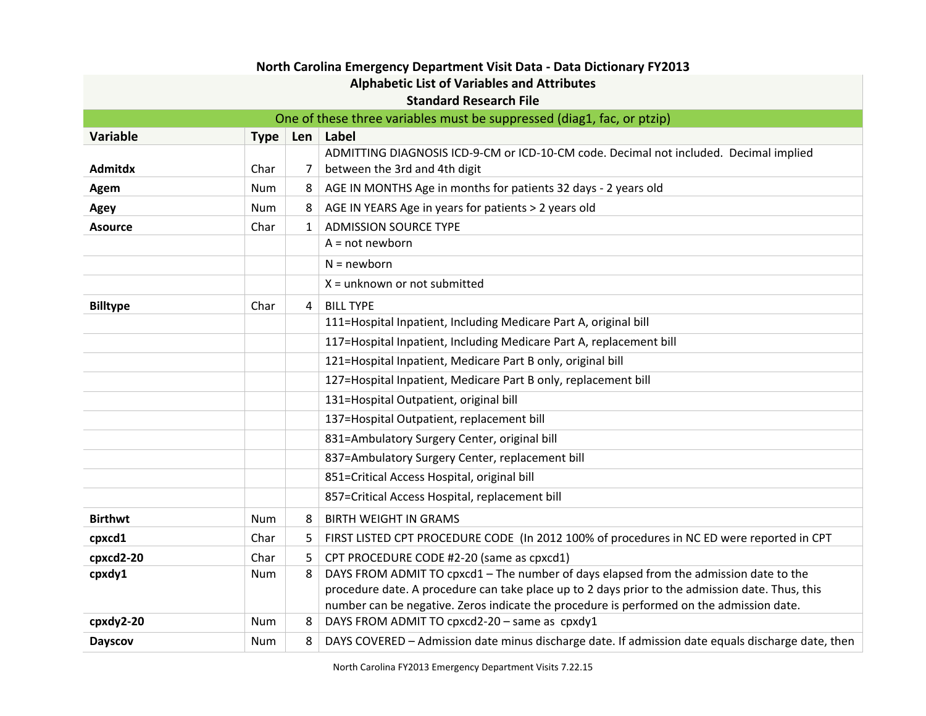| North Carolina Emergency Department Visit Data - Data Dictionary FY2013 |            |              |                                                                                                   |  |  |
|-------------------------------------------------------------------------|------------|--------------|---------------------------------------------------------------------------------------------------|--|--|
| <b>Alphabetic List of Variables and Attributes</b>                      |            |              |                                                                                                   |  |  |
| <b>Standard Research File</b>                                           |            |              |                                                                                                   |  |  |
| One of these three variables must be suppressed (diag1, fac, or ptzip)  |            |              |                                                                                                   |  |  |
| <b>Variable</b>                                                         | Type   Len |              | Label                                                                                             |  |  |
|                                                                         |            |              | ADMITTING DIAGNOSIS ICD-9-CM or ICD-10-CM code. Decimal not included. Decimal implied             |  |  |
| Admitdx                                                                 | Char       | 7            | between the 3rd and 4th digit                                                                     |  |  |
| Agem                                                                    | Num        | 8            | AGE IN MONTHS Age in months for patients 32 days - 2 years old                                    |  |  |
| Agey                                                                    | <b>Num</b> | 8            | AGE IN YEARS Age in years for patients > 2 years old                                              |  |  |
| <b>Asource</b>                                                          | Char       | $\mathbf{1}$ | <b>ADMISSION SOURCE TYPE</b>                                                                      |  |  |
|                                                                         |            |              | $A = not newborn$                                                                                 |  |  |
|                                                                         |            |              | $N = newborn$                                                                                     |  |  |
|                                                                         |            |              | $X =$ unknown or not submitted                                                                    |  |  |
| <b>Billtype</b>                                                         | Char       | 4            | <b>BILL TYPE</b>                                                                                  |  |  |
|                                                                         |            |              | 111=Hospital Inpatient, Including Medicare Part A, original bill                                  |  |  |
|                                                                         |            |              | 117=Hospital Inpatient, Including Medicare Part A, replacement bill                               |  |  |
|                                                                         |            |              | 121=Hospital Inpatient, Medicare Part B only, original bill                                       |  |  |
|                                                                         |            |              | 127=Hospital Inpatient, Medicare Part B only, replacement bill                                    |  |  |
|                                                                         |            |              | 131=Hospital Outpatient, original bill                                                            |  |  |
|                                                                         |            |              | 137=Hospital Outpatient, replacement bill                                                         |  |  |
|                                                                         |            |              | 831=Ambulatory Surgery Center, original bill                                                      |  |  |
|                                                                         |            |              | 837=Ambulatory Surgery Center, replacement bill                                                   |  |  |
|                                                                         |            |              | 851=Critical Access Hospital, original bill                                                       |  |  |
|                                                                         |            |              | 857=Critical Access Hospital, replacement bill                                                    |  |  |
| <b>Birthwt</b>                                                          | <b>Num</b> | 8            | <b>BIRTH WEIGHT IN GRAMS</b>                                                                      |  |  |
| cpxcd1                                                                  | Char       | 5            | FIRST LISTED CPT PROCEDURE CODE (In 2012 100% of procedures in NC ED were reported in CPT         |  |  |
| cpxcd2-20                                                               | Char       | 5            | CPT PROCEDURE CODE #2-20 (same as cpxcd1)                                                         |  |  |
| cpxdy1                                                                  | Num        | 8            | DAYS FROM ADMIT TO cpxcd1 - The number of days elapsed from the admission date to the             |  |  |
|                                                                         |            |              | procedure date. A procedure can take place up to 2 days prior to the admission date. Thus, this   |  |  |
|                                                                         |            |              | number can be negative. Zeros indicate the procedure is performed on the admission date.          |  |  |
| cpxdy2-20                                                               | <b>Num</b> | 8            | DAYS FROM ADMIT TO cpxcd2-20 - same as cpxdy1                                                     |  |  |
| <b>Dayscov</b>                                                          | Num        | 8            | DAYS COVERED - Admission date minus discharge date. If admission date equals discharge date, then |  |  |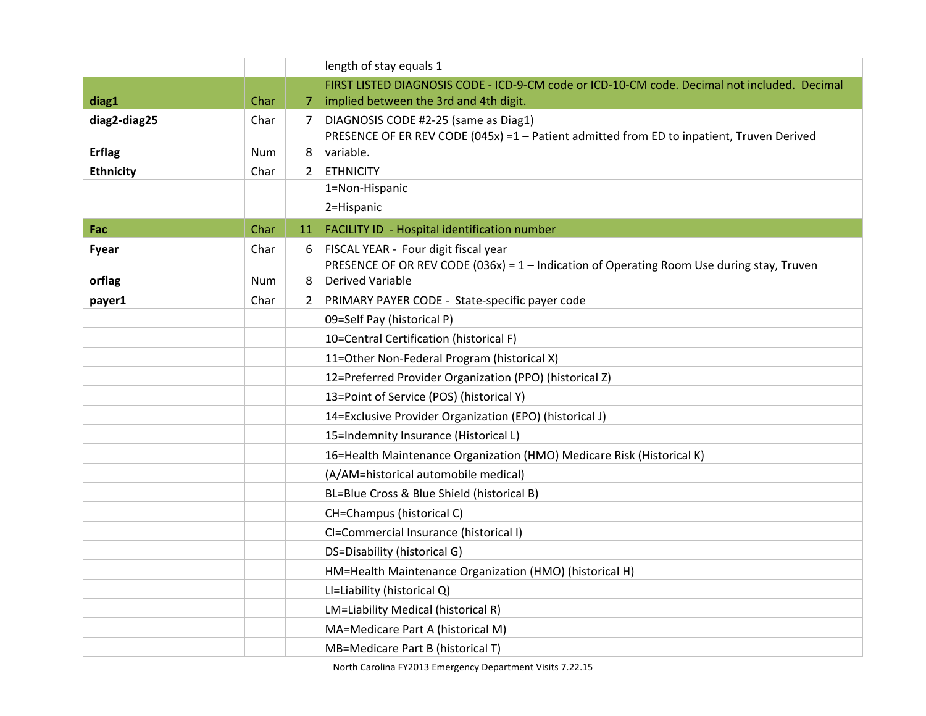|                  |            |              | length of stay equals 1                                                                                                |
|------------------|------------|--------------|------------------------------------------------------------------------------------------------------------------------|
|                  |            |              | FIRST LISTED DIAGNOSIS CODE - ICD-9-CM code or ICD-10-CM code. Decimal not included. Decimal                           |
| diag1            | Char       | 7            | implied between the 3rd and 4th digit.                                                                                 |
| diag2-diag25     | Char       | 7            | DIAGNOSIS CODE #2-25 (same as Diag1)                                                                                   |
|                  |            |              | PRESENCE OF ER REV CODE (045x) =1 - Patient admitted from ED to inpatient, Truven Derived                              |
| <b>Erflag</b>    | <b>Num</b> | 8            | variable.                                                                                                              |
| <b>Ethnicity</b> | Char       | 2            | <b>ETHNICITY</b>                                                                                                       |
|                  |            |              | 1=Non-Hispanic                                                                                                         |
|                  |            |              | 2=Hispanic                                                                                                             |
| Fac              | Char       | 11           | FACILITY ID - Hospital identification number                                                                           |
| Fyear            | Char       | 6            | FISCAL YEAR - Four digit fiscal year                                                                                   |
| orflag           | Num        | 8            | PRESENCE OF OR REV CODE (036x) = $1$ – Indication of Operating Room Use during stay, Truven<br><b>Derived Variable</b> |
| payer1           | Char       | $\mathbf{2}$ | PRIMARY PAYER CODE - State-specific payer code                                                                         |
|                  |            |              |                                                                                                                        |
|                  |            |              | 09=Self Pay (historical P)                                                                                             |
|                  |            |              | 10=Central Certification (historical F)                                                                                |
|                  |            |              | 11=Other Non-Federal Program (historical X)                                                                            |
|                  |            |              | 12=Preferred Provider Organization (PPO) (historical Z)                                                                |
|                  |            |              | 13=Point of Service (POS) (historical Y)                                                                               |
|                  |            |              | 14=Exclusive Provider Organization (EPO) (historical J)                                                                |
|                  |            |              | 15=Indemnity Insurance (Historical L)                                                                                  |
|                  |            |              | 16=Health Maintenance Organization (HMO) Medicare Risk (Historical K)                                                  |
|                  |            |              | (A/AM=historical automobile medical)                                                                                   |
|                  |            |              | BL=Blue Cross & Blue Shield (historical B)                                                                             |
|                  |            |              | CH=Champus (historical C)                                                                                              |
|                  |            |              | CI=Commercial Insurance (historical I)                                                                                 |
|                  |            |              | DS=Disability (historical G)                                                                                           |
|                  |            |              | HM=Health Maintenance Organization (HMO) (historical H)                                                                |
|                  |            |              | LI=Liability (historical Q)                                                                                            |
|                  |            |              | LM=Liability Medical (historical R)                                                                                    |
|                  |            |              | MA=Medicare Part A (historical M)                                                                                      |
|                  |            |              | MB=Medicare Part B (historical T)                                                                                      |

North Carolina FY2013 Emergency Department Visits 7.22.15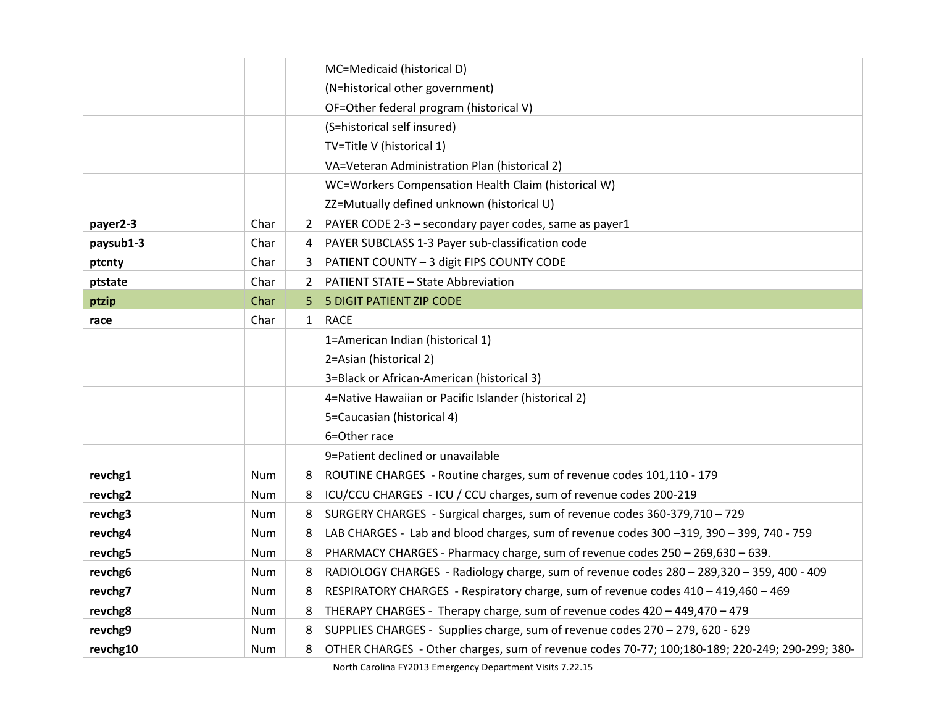|           |      |                | MC=Medicaid (historical D)                                                                     |
|-----------|------|----------------|------------------------------------------------------------------------------------------------|
|           |      |                | (N=historical other government)                                                                |
|           |      |                | OF=Other federal program (historical V)                                                        |
|           |      |                | (S=historical self insured)                                                                    |
|           |      |                | TV=Title V (historical 1)                                                                      |
|           |      |                | VA=Veteran Administration Plan (historical 2)                                                  |
|           |      |                | WC=Workers Compensation Health Claim (historical W)                                            |
|           |      |                | ZZ=Mutually defined unknown (historical U)                                                     |
| payer2-3  | Char | $\overline{2}$ | PAYER CODE 2-3 - secondary payer codes, same as payer1                                         |
| paysub1-3 | Char | 4              | PAYER SUBCLASS 1-3 Payer sub-classification code                                               |
| ptcnty    | Char | 3              | PATIENT COUNTY - 3 digit FIPS COUNTY CODE                                                      |
| ptstate   | Char | 2              | <b>PATIENT STATE - State Abbreviation</b>                                                      |
| ptzip     | Char | 5              | <b>5 DIGIT PATIENT ZIP CODE</b>                                                                |
| race      | Char | $\mathbf{1}$   | <b>RACE</b>                                                                                    |
|           |      |                | 1=American Indian (historical 1)                                                               |
|           |      |                | 2=Asian (historical 2)                                                                         |
|           |      |                | 3=Black or African-American (historical 3)                                                     |
|           |      |                | 4=Native Hawaiian or Pacific Islander (historical 2)                                           |
|           |      |                | 5=Caucasian (historical 4)                                                                     |
|           |      |                | 6=Other race                                                                                   |
|           |      |                | 9=Patient declined or unavailable                                                              |
| revchg1   | Num  | 8              | ROUTINE CHARGES - Routine charges, sum of revenue codes 101,110 - 179                          |
| revchg2   | Num  | 8              | ICU/CCU CHARGES - ICU / CCU charges, sum of revenue codes 200-219                              |
| revchg3   | Num  | 8              | SURGERY CHARGES - Surgical charges, sum of revenue codes 360-379,710 - 729                     |
| revchg4   | Num  | 8              | LAB CHARGES - Lab and blood charges, sum of revenue codes 300 -319, 390 - 399, 740 - 759       |
| revchg5   | Num  | 8              | PHARMACY CHARGES - Pharmacy charge, sum of revenue codes 250 - 269,630 - 639.                  |
| revchg6   | Num  | 8              | RADIOLOGY CHARGES - Radiology charge, sum of revenue codes 280 - 289,320 - 359, 400 - 409      |
| revchg7   | Num  | 8              | RESPIRATORY CHARGES - Respiratory charge, sum of revenue codes 410 - 419,460 - 469             |
| revchg8   | Num  | 8              | THERAPY CHARGES - Therapy charge, sum of revenue codes 420 - 449,470 - 479                     |
| revchg9   | Num  | 8              | SUPPLIES CHARGES - Supplies charge, sum of revenue codes 270 - 279, 620 - 629                  |
| revchg10  | Num  | 8              | OTHER CHARGES - Other charges, sum of revenue codes 70-77; 100;180-189; 220-249; 290-299; 380- |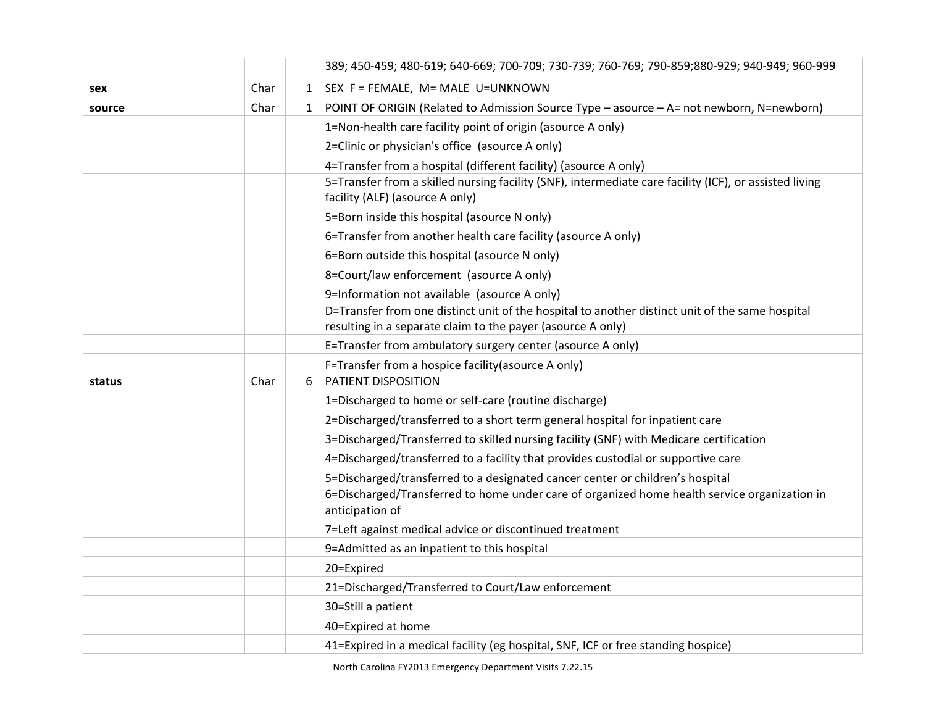|        |      |              | 389; 450-459; 480-619; 640-669; 700-709; 730-739; 760-769; 790-859;880-929; 940-949; 960-999                                                                   |
|--------|------|--------------|----------------------------------------------------------------------------------------------------------------------------------------------------------------|
| sex    | Char | $\mathbf{1}$ | SEX F = FEMALE, M= MALE U=UNKNOWN                                                                                                                              |
| source | Char | $\mathbf{1}$ | POINT OF ORIGIN (Related to Admission Source Type - asource - A= not newborn, N=newborn)                                                                       |
|        |      |              | 1=Non-health care facility point of origin (asource A only)                                                                                                    |
|        |      |              | 2=Clinic or physician's office (asource A only)                                                                                                                |
|        |      |              | 4=Transfer from a hospital (different facility) (asource A only)                                                                                               |
|        |      |              | 5=Transfer from a skilled nursing facility (SNF), intermediate care facility (ICF), or assisted living<br>facility (ALF) (asource A only)                      |
|        |      |              | 5=Born inside this hospital (asource N only)                                                                                                                   |
|        |      |              | 6=Transfer from another health care facility (asource A only)                                                                                                  |
|        |      |              | 6=Born outside this hospital (asource N only)                                                                                                                  |
|        |      |              | 8=Court/law enforcement (asource A only)                                                                                                                       |
|        |      |              | 9=Information not available (asource A only)                                                                                                                   |
|        |      |              | D=Transfer from one distinct unit of the hospital to another distinct unit of the same hospital<br>resulting in a separate claim to the payer (asource A only) |
|        |      |              | E=Transfer from ambulatory surgery center (asource A only)                                                                                                     |
|        |      |              | F=Transfer from a hospice facility (asource A only)                                                                                                            |
| status | Char | 6            | PATIENT DISPOSITION                                                                                                                                            |
|        |      |              | 1=Discharged to home or self-care (routine discharge)                                                                                                          |
|        |      |              | 2=Discharged/transferred to a short term general hospital for inpatient care                                                                                   |
|        |      |              |                                                                                                                                                                |
|        |      |              | 3=Discharged/Transferred to skilled nursing facility (SNF) with Medicare certification                                                                         |
|        |      |              | 4=Discharged/transferred to a facility that provides custodial or supportive care                                                                              |
|        |      |              | 5=Discharged/transferred to a designated cancer center or children's hospital                                                                                  |
|        |      |              | 6=Discharged/Transferred to home under care of organized home health service organization in<br>anticipation of                                                |
|        |      |              | 7=Left against medical advice or discontinued treatment                                                                                                        |
|        |      |              | 9=Admitted as an inpatient to this hospital                                                                                                                    |
|        |      |              | 20=Expired                                                                                                                                                     |
|        |      |              | 21=Discharged/Transferred to Court/Law enforcement                                                                                                             |
|        |      |              | 30=Still a patient                                                                                                                                             |
|        |      |              | 40=Expired at home                                                                                                                                             |